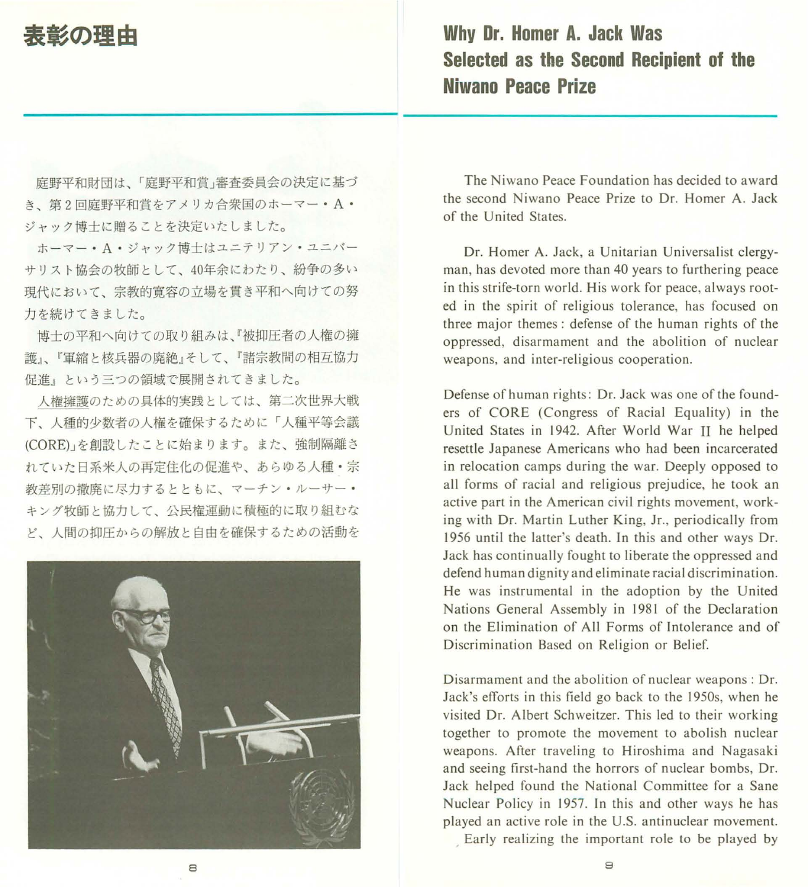## 表彰の理由

Why Dr. Homer A. Jack Was Selected as the Second Recipient of the Niwano Peace Prize

庭野平和財団は、「庭野平和賞」審査委員会の決定に基づ き、第2回庭野平和賞をアメリカ合衆国のホーマー·A· ジャック博士に贈ることを決定いたしました。

ホーマー· A·ジャック博士はユニテリアン·ユニバー サリスト協会の牧師として、 <sup>40</sup> 年余にわたり、紛争の多い 現代において、宗教的寛容の立場を貫き平和へ向けての努 力を続けてきました。

博士の平和へ向けての取り組みは、『被抑圧者の人権の擁 護』、『軍縮と核兵器の廃絶』そして、『諸宗教聞の相互協力 促進』という三つの領域で展開されてきました。

人権擁護のための具体的実践としては、第二次世界大戦 下、人種的少数者の人権を確保するために「人種平等会議 (CORE)J を創設したことに始まります。また、強制隔離さ れていた日系米人の再定住化の促進や、あらゆる人種・宗 教差別の撤廃に尽力するとともに、マーチン・ルーサー・ キング牧師と協力して、公民権運動に積極的に取り組むな ど、人間の抑圧からの解放と自由を確保するための活動を



The Niwano Peace Foundation has decided to award the second Niwano Peace Prize to Dr. Homer A. Jack of the United States

Dr. Homer A. Jack, a Unitarian Universalist clergyman, has devoted more than 40 years to furthering peace in this strife-torn world. His work for peace, always rooted in the spirit of religious tolerance, has focused on three major themes: defense of the human rights of the oppressed, disarmament and the abolition of nuclear weapons, and inter-religious cooperation.

Defense of human rights: Dr. Jack was one of the founders of CORE (Congress of Racial Equality) in the United States in 1942. After World War II he helped resettle Japanese Americans who had been incarcerated in relocation camps during the war. Deeply opposed to all forms of racial and religious prejudice, he took an active part in the American civil rights movement, working with Dr. Martin Luther King, Jr., periodically from 1956 until the latter's death. In this and other ways Dr. Jack has continually fought to liberate the oppressed and defend human dignity and eliminate racial discrimination. He was instrumental in the adoption by the United Nations General Assembly in 1981 of the Declaration on the Elimination of All Forms of Intolerance and of Discrimination Based on Religion or Belief.

Disarmament and the abolition of nuclear weapons: Dr. Jack's efforts in this field go back to the 1950s, when he visited Dr. Albert Schweitzer. This led to their working together to promote the movement to abolish nuclear weapons. After traveling to Hiroshima and Nagasaki and seeing first-hand the horrors of nuclear bombs, Dr. Jack helped found the National Committee for a Sane Nuclear Policy in 1957. In this and other ways he has played an active role in the U.S. antinuclear movement.

Early realizing the important role to be played by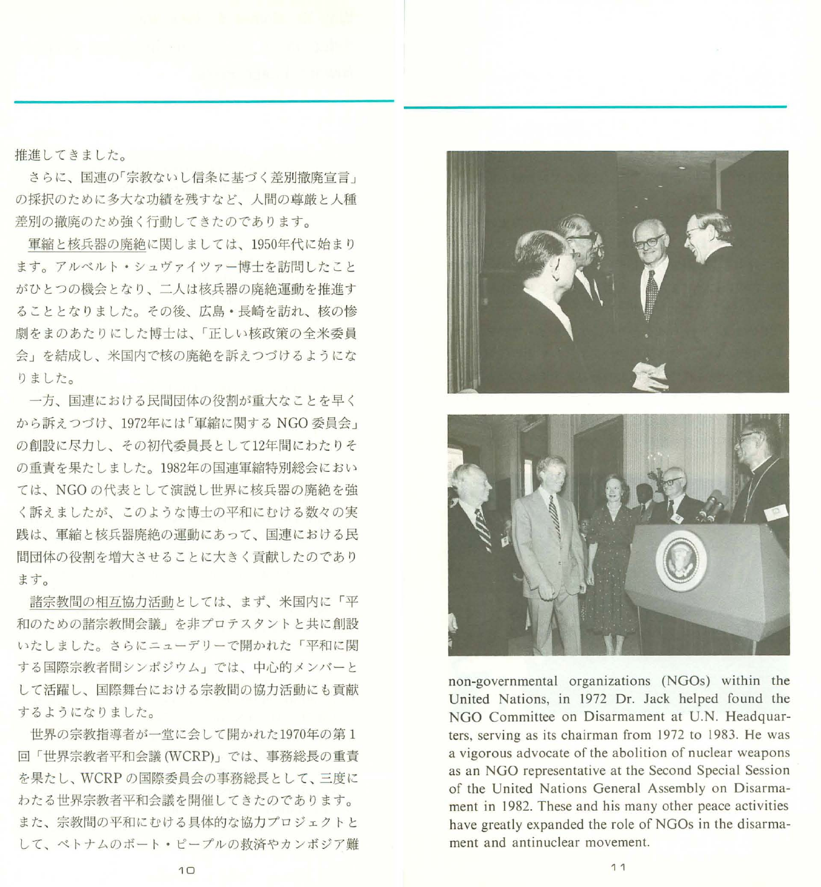推進してきました。

さらに、国連の「宗教ないし信条に基づく差別撤廃宣言」 の採択のために多大な功績を残すなど、人間の尊厳と人種 差別の撤廃のため強く行動してきたのであります。

軍縮と核兵器の廃絶に関しましては、1950年代に始まり ます。アルベルト・シュヴァイツアー博士を訪問したこと がひとつの機会となり、二人は核兵器の廃絶運動を推進す ることとなりました。その後、広島・長崎を訪れ、核の惨 劇をまのあたりにした博士は、「正しい核政策の全米委員 会」を結成し、米国内で核の廃絶を訴えつづけるようにな りました。

一方、国連における民間団体の役割が重大なことを早く から訴えつづけ、1972年には「軍縮に関する NGO 委員会」 の創設に尽力し、その初代委員長として 12年間にわたりそ の重責を果たしました。1982年の国連軍縮特別総会におい ては、 NGO の代表として演説し世界に核兵器の廃絶を強 く訴えましたが、このような博士の平和にむける数々の実 践は、軍縮と核兵器廃絶の運動にあって、国連における民 間団体の役割を増大させることに大きく貢献したのであり ます。

諸宗教聞の相互協力活動としては、まず、米国内に「平 和のための諸宗教閉会議」を非プロテスタントと共に創設 いたしました。さらにニューデリーで聞かれた「平和に関 する国際宗教者間シンポジウム」では、中心的メンバーと して活躍し、国際舞台における宗教聞の協力活動にも貢献 するようになりました。

世界の宗教指導者が一堂に会して開かれた1970年の第1 回「世界宗教者平和会議 (WCRP)」では、事務総長の重責 を果たし、 WCRP の国際委員会の事務総長として、三度に わたる世界宗教者平和会議を開催してきたのであります。 また、宗教聞の平和にむける具体的な協力プロジェク卜と して、ベトナムのボート・ピープルの救済やカンボジア難



non-governmental organizations (NGOs) within the United Nations , in 1972 Dr. Jack helped found the NGO Committee on Disarmament at U.N. Headquarters, serving as its chairman from 1972 to 1983. He was a vigorous advocate of the abolition of nuclear weapons as an NGO representative at the Second Special Session of the United Nations General Assembly on Disarmament in 1982. These and his many other peace activities have greatly expanded the role of NGOs in the disarmament and antinuclear movement.